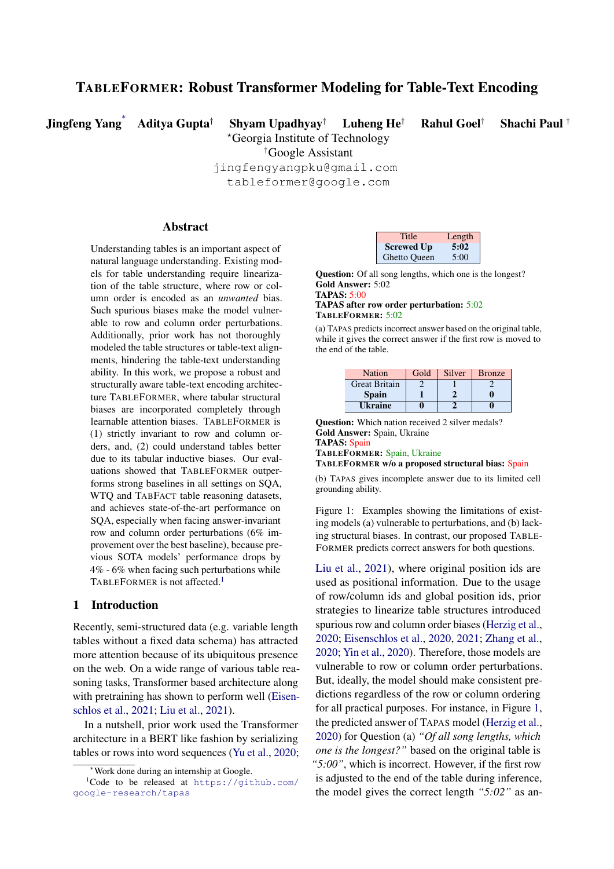# TABLEFORMER: Robust Transformer Modeling for Table-Text Encoding

Jingfeng Yang ∗

Aditya Gupta† Shyam Upadhyay† Luheng He† Rahul Goel† Shachi Paul †

?Georgia Institute of Technology

†Google Assistant

jingfengyangpku@gmail.com

tableformer@google.com

#### Abstract

Understanding tables is an important aspect of natural language understanding. Existing models for table understanding require linearization of the table structure, where row or column order is encoded as an *unwanted* bias. Such spurious biases make the model vulnerable to row and column order perturbations. Additionally, prior work has not thoroughly modeled the table structures or table-text alignments, hindering the table-text understanding ability. In this work, we propose a robust and structurally aware table-text encoding architecture TABLEFORMER, where tabular structural biases are incorporated completely through learnable attention biases. TABLEFORMER is (1) strictly invariant to row and column orders, and, (2) could understand tables better due to its tabular inductive biases. Our evaluations showed that TABLEFORMER outperforms strong baselines in all settings on SQA, WTQ and TABFACT table reasoning datasets, and achieves state-of-the-art performance on SQA, especially when facing answer-invariant row and column order perturbations (6% improvement over the best baseline), because previous SOTA models' performance drops by 4% - 6% when facing such perturbations while TABLEFORMER is not affected.<sup>[1](#page-0-0)</sup>

#### 1 Introduction

Recently, semi-structured data (e.g. variable length tables without a fixed data schema) has attracted more attention because of its ubiquitous presence on the web. On a wide range of various table reasoning tasks, Transformer based architecture along with pretraining has shown to perform well [\(Eisen](#page-9-0)[schlos et al.,](#page-9-0) [2021;](#page-9-0) [Liu et al.,](#page-9-1) [2021\)](#page-9-1).

In a nutshell, prior work used the Transformer architecture in a BERT like fashion by serializing tables or rows into word sequences [\(Yu et al.,](#page-9-2) [2020;](#page-9-2)

| Title             | Length |  |
|-------------------|--------|--|
| <b>Screwed Up</b> | 5:02   |  |
| Ghetto Queen      | 5:00   |  |

<span id="page-0-1"></span>Question: Of all song lengths, which one is the longest? Gold Answer: 5:02 TAPAS: 5:00

#### TAPAS after row order perturbation: 5:02 TABLEFORMER: 5:02

(a) TAPAS predicts incorrect answer based on the original table, while it gives the correct answer if the first row is moved to the end of the table.

| <b>Nation</b>        | Gold | Silver | <b>Bronze</b> |
|----------------------|------|--------|---------------|
| <b>Great Britain</b> |      |        |               |
| <b>Spain</b>         |      |        |               |
| Ukraine              |      |        |               |

Question: Which nation received 2 silver medals? Gold Answer: Spain, Ukraine TAPAS: Spain TABLEFORMER: Spain, Ukraine

TABLEFORMER w/o a proposed structural bias: Spain

(b) TAPAS gives incomplete answer due to its limited cell grounding ability.

Figure 1: Examples showing the limitations of existing models (a) vulnerable to perturbations, and (b) lacking structural biases. In contrast, our proposed TABLE-FORMER predicts correct answers for both questions.

[Liu et al.,](#page-9-1) [2021\)](#page-9-1), where original position ids are used as positional information. Due to the usage of row/column ids and global position ids, prior strategies to linearize table structures introduced spurious row and column order biases [\(Herzig et al.,](#page-9-3) [2020;](#page-9-3) [Eisenschlos et al.,](#page-9-4) [2020,](#page-9-4) [2021;](#page-9-0) [Zhang et al.,](#page-9-5) [2020;](#page-9-5) [Yin et al.,](#page-9-6) [2020\)](#page-9-6). Therefore, those models are vulnerable to row or column order perturbations. But, ideally, the model should make consistent predictions regardless of the row or column ordering for all practical purposes. For instance, in Figure [1,](#page-0-1) the predicted answer of TAPAS model [\(Herzig et al.,](#page-9-3) [2020\)](#page-9-3) for Question (a) *"Of all song lengths, which one is the longest?"* based on the original table is *"5:00"*, which is incorrect. However, if the first row is adjusted to the end of the table during inference, the model gives the correct length *"5:02"* as an-

<span id="page-0-0"></span><sup>∗</sup>Work done during an internship at Google.

 $1$ Code to be released at [https://github.com/](https://github.com/google-research/tapas) [google-research/tapas](https://github.com/google-research/tapas)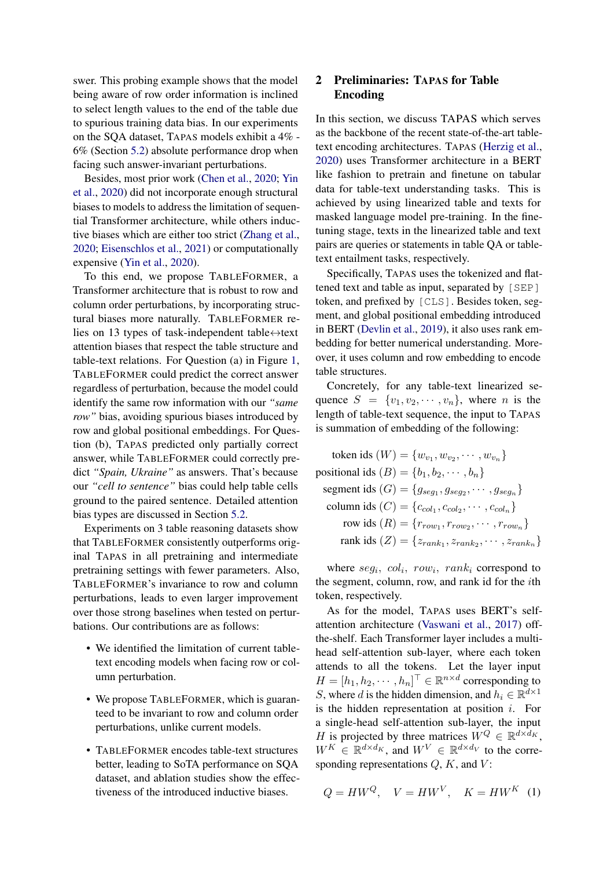swer. This probing example shows that the model being aware of row order information is inclined to select length values to the end of the table due to spurious training data bias. In our experiments on the SQA dataset, TAPAS models exhibit a 4% - 6% (Section [5.2\)](#page-5-0) absolute performance drop when facing such answer-invariant perturbations.

Besides, most prior work [\(Chen et al.,](#page-8-0) [2020;](#page-8-0) [Yin](#page-9-6) [et al.,](#page-9-6) [2020\)](#page-9-6) did not incorporate enough structural biases to models to address the limitation of sequential Transformer architecture, while others inductive biases which are either too strict [\(Zhang et al.,](#page-9-5) [2020;](#page-9-5) [Eisenschlos et al.,](#page-9-0) [2021\)](#page-9-0) or computationally expensive [\(Yin et al.,](#page-9-6) [2020\)](#page-9-6).

To this end, we propose TABLEFORMER, a Transformer architecture that is robust to row and column order perturbations, by incorporating structural biases more naturally. TABLEFORMER relies on 13 types of task-independent table↔text attention biases that respect the table structure and table-text relations. For Question (a) in Figure [1,](#page-0-1) TABLEFORMER could predict the correct answer regardless of perturbation, because the model could identify the same row information with our *"same row*" bias, avoiding spurious biases introduced by row and global positional embeddings. For Question (b), TAPAS predicted only partially correct answer, while TABLEFORMER could correctly predict *"Spain, Ukraine"* as answers. That's because our *"cell to sentence"* bias could help table cells ground to the paired sentence. Detailed attention bias types are discussed in Section [5.2.](#page-5-0)

Experiments on 3 table reasoning datasets show that TABLEFORMER consistently outperforms original TAPAS in all pretraining and intermediate pretraining settings with fewer parameters. Also, TABLEFORMER's invariance to row and column perturbations, leads to even larger improvement over those strong baselines when tested on perturbations. Our contributions are as follows:

- We identified the limitation of current tabletext encoding models when facing row or column perturbation.
- We propose TABLEFORMER, which is guaranteed to be invariant to row and column order perturbations, unlike current models.
- TABLEFORMER encodes table-text structures better, leading to SoTA performance on SQA dataset, and ablation studies show the effectiveness of the introduced inductive biases.

## 2 Preliminaries: TAPAS for Table Encoding

In this section, we discuss TAPAS which serves as the backbone of the recent state-of-the-art tabletext encoding architectures. TAPAS [\(Herzig et al.,](#page-9-3) [2020\)](#page-9-3) uses Transformer architecture in a BERT like fashion to pretrain and finetune on tabular data for table-text understanding tasks. This is achieved by using linearized table and texts for masked language model pre-training. In the finetuning stage, texts in the linearized table and text pairs are queries or statements in table QA or tabletext entailment tasks, respectively.

Specifically, TAPAS uses the tokenized and flattened text and table as input, separated by [SEP] token, and prefixed by [CLS]. Besides token, segment, and global positional embedding introduced in BERT [\(Devlin et al.,](#page-9-7) [2019\)](#page-9-7), it also uses rank embedding for better numerical understanding. Moreover, it uses column and row embedding to encode table structures.

Concretely, for any table-text linearized sequence  $S = \{v_1, v_2, \dots, v_n\}$ , where *n* is the length of table-text sequence, the input to TAPAS is summation of embedding of the following:

| token ids $(W) = \{w_{v_1}, w_{v_2}, \cdots, w_{v_n}\}\$         |
|------------------------------------------------------------------|
| positional ids $(B) = \{b_1, b_2, \dots, b_n\}$                  |
| segment ids $(G) = \{g_{seg_1}, g_{seg_2}, \cdots, g_{seg_n}\}\$ |
| column ids $(C) = \{c_{col_1}, c_{col_2}, \cdots, c_{col_n}\}\$  |
| row ids $(R) = \{r_{row_1}, r_{row_2}, \cdots, r_{row_n}\}\$     |
| rank ids $(Z) = \{z_{rank_1}, z_{rank_2}, \cdots, z_{rank_n}\}\$ |

where  $seg_i$ ,  $col_i$ ,  $row_i$ ,  $rank_i$  correspond to the segment, column, row, and rank id for the ith token, respectively.

As for the model, TAPAS uses BERT's selfattention architecture [\(Vaswani et al.,](#page-9-8) [2017\)](#page-9-8) offthe-shelf. Each Transformer layer includes a multihead self-attention sub-layer, where each token attends to all the tokens. Let the layer input  $H = [h_1, h_2, \dots, h_n]^\top \in \mathbb{R}^{n \times d}$  corresponding to S, where d is the hidden dimension, and  $h_i \in \mathbb{R}^{d \times 1}$ is the hidden representation at position  $i$ . For a single-head self-attention sub-layer, the input H is projected by three matrices  $W^Q \in \mathbb{R}^{d \times d_K}$ ,  $W^K \in \mathbb{R}^{d \times d_K}$ , and  $W^V \in \mathbb{R}^{d \times d_V}$  to the corresponding representations  $Q, K$ , and  $V$ :

<span id="page-1-0"></span>
$$
Q = HW^Q, \quad V = HW^V, \quad K = HW^K \quad (1)
$$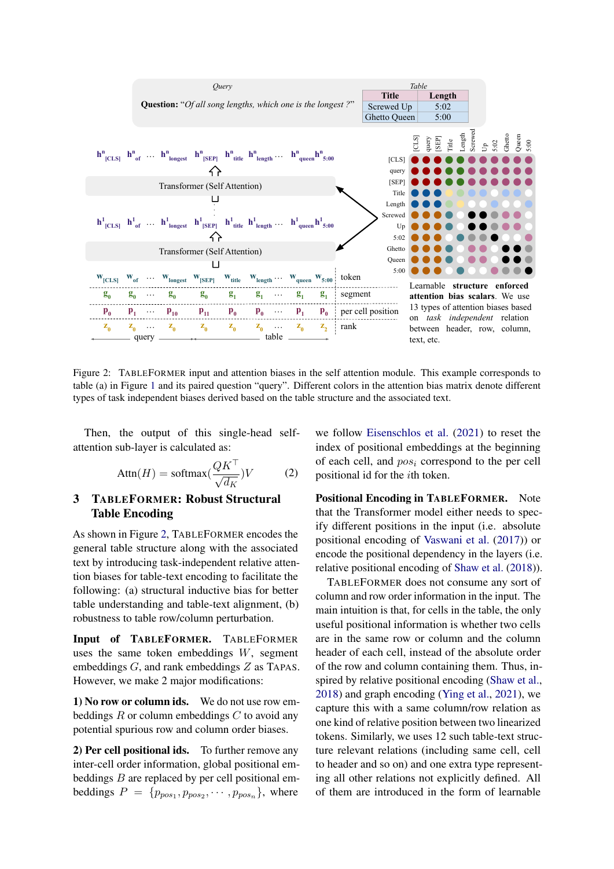<span id="page-2-0"></span>

Figure 2: TABLEFORMER input and attention biases in the self attention module. This example corresponds to table (a) in Figure [1](#page-0-1) and its paired question "query". Different colors in the attention bias matrix denote different types of task independent biases derived based on the table structure and the associated text.

Then, the output of this single-head selfattention sub-layer is calculated as:

$$
Attn(H) = softmax(\frac{QK^{\top}}{\sqrt{d_K}})V
$$
 (2)

## 3 TABLEFORMER: Robust Structural Table Encoding

As shown in Figure [2,](#page-2-0) TABLEFORMER encodes the general table structure along with the associated text by introducing task-independent relative attention biases for table-text encoding to facilitate the following: (a) structural inductive bias for better table understanding and table-text alignment, (b) robustness to table row/column perturbation.

Input of TABLEFORMER. TABLEFORMER uses the same token embeddings  $W$ , segment embeddings G, and rank embeddings Z as TAPAS. However, we make 2 major modifications:

1) No row or column ids. We do not use row embeddings  $R$  or column embeddings  $C$  to avoid any potential spurious row and column order biases.

2) Per cell positional ids. To further remove any inter-cell order information, global positional embeddings  $B$  are replaced by per cell positional embeddings  $P = \{p_{pos_1}, p_{pos_2}, \dots, p_{pos_n}\},\$  where

<span id="page-2-1"></span>we follow [Eisenschlos et al.](#page-9-0) [\(2021\)](#page-9-0) to reset the index of positional embeddings at the beginning of each cell, and  $pos<sub>i</sub>$  correspond to the per cell positional id for the ith token.

Positional Encoding in TABLEFORMER. Note that the Transformer model either needs to specify different positions in the input (i.e. absolute positional encoding of [Vaswani et al.](#page-9-8) [\(2017\)](#page-9-8)) or encode the positional dependency in the layers (i.e. relative positional encoding of [Shaw et al.](#page-9-9) [\(2018\)](#page-9-9)).

TABLEFORMER does not consume any sort of column and row order information in the input. The main intuition is that, for cells in the table, the only useful positional information is whether two cells are in the same row or column and the column header of each cell, instead of the absolute order of the row and column containing them. Thus, inspired by relative positional encoding [\(Shaw et al.,](#page-9-9) [2018\)](#page-9-9) and graph encoding [\(Ying et al.,](#page-9-10) [2021\)](#page-9-10), we capture this with a same column/row relation as one kind of relative position between two linearized tokens. Similarly, we uses 12 such table-text structure relevant relations (including same cell, cell to header and so on) and one extra type representing all other relations not explicitly defined. All of them are introduced in the form of learnable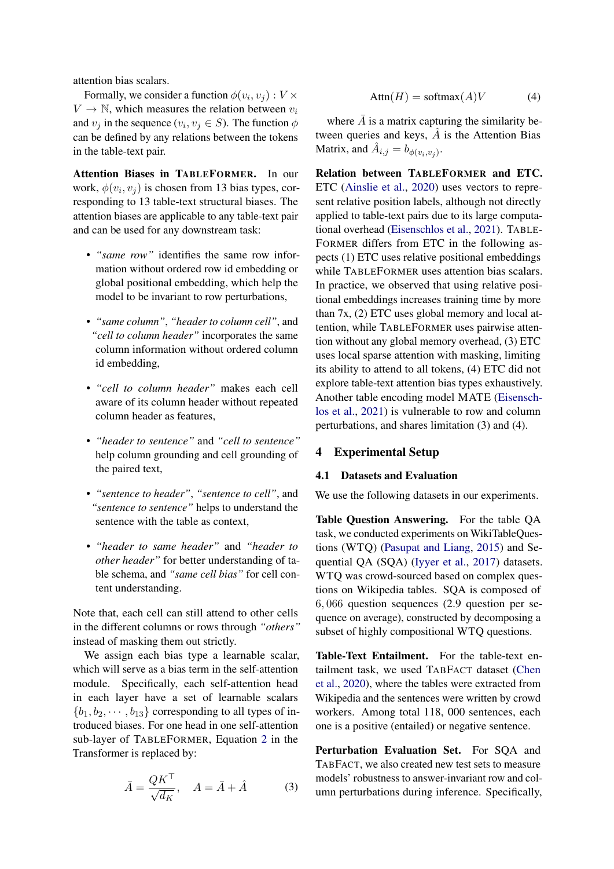attention bias scalars.

Formally, we consider a function  $\phi(v_i, v_j) : V \times$  $V \rightarrow \mathbb{N}$ , which measures the relation between  $v_i$ and  $v_j$  in the sequence  $(v_i, v_j \in S)$ . The function  $\phi$ can be defined by any relations between the tokens in the table-text pair.

Attention Biases in TABLEFORMER. In our work,  $\phi(v_i, v_j)$  is chosen from 13 bias types, corresponding to 13 table-text structural biases. The attention biases are applicable to any table-text pair and can be used for any downstream task:

- *"same row"* identifies the same row information without ordered row id embedding or global positional embedding, which help the model to be invariant to row perturbations,
- *"same column"*, *"header to column cell"*, and *"cell to column header"* incorporates the same column information without ordered column id embedding,
- *"cell to column header"* makes each cell aware of its column header without repeated column header as features,
- *"header to sentence"* and *"cell to sentence"* help column grounding and cell grounding of the paired text,
- *"sentence to header"*, *"sentence to cell"*, and *"sentence to sentence"* helps to understand the sentence with the table as context,
- *"header to same header"* and *"header to other header"* for better understanding of table schema, and *"same cell bias"* for cell content understanding.

Note that, each cell can still attend to other cells in the different columns or rows through *"others"* instead of masking them out strictly.

We assign each bias type a learnable scalar, which will serve as a bias term in the self-attention module. Specifically, each self-attention head in each layer have a set of learnable scalars  ${b_1, b_2, \cdots, b_{13}}$  corresponding to all types of introduced biases. For one head in one self-attention sub-layer of TABLEFORMER, Equation [2](#page-2-1) in the Transformer is replaced by:

<span id="page-3-0"></span>
$$
\bar{A} = \frac{QK^{\top}}{\sqrt{d_K}}, \quad A = \bar{A} + \hat{A}
$$
 (3)

$$
Attn(H) = softmax(A)V \qquad (4)
$$

where  $\bar{A}$  is a matrix capturing the similarity between queries and keys,  $\hat{A}$  is the Attention Bias Matrix, and  $\hat{A}_{i,j} = b_{\phi(v_i, v_j)}$ .

<span id="page-3-1"></span>Relation between TABLEFORMER and ETC. ETC [\(Ainslie et al.,](#page-8-1) [2020\)](#page-8-1) uses vectors to represent relative position labels, although not directly applied to table-text pairs due to its large computational overhead [\(Eisenschlos et al.,](#page-9-0) [2021\)](#page-9-0). TABLE-FORMER differs from ETC in the following aspects (1) ETC uses relative positional embeddings while TABLEFORMER uses attention bias scalars. In practice, we observed that using relative positional embeddings increases training time by more than 7x, (2) ETC uses global memory and local attention, while TABLEFORMER uses pairwise attention without any global memory overhead, (3) ETC uses local sparse attention with masking, limiting its ability to attend to all tokens, (4) ETC did not explore table-text attention bias types exhaustively. Another table encoding model MATE [\(Eisensch](#page-9-0)[los et al.,](#page-9-0) [2021\)](#page-9-0) is vulnerable to row and column perturbations, and shares limitation (3) and (4).

### 4 Experimental Setup

#### 4.1 Datasets and Evaluation

We use the following datasets in our experiments.

Table Question Answering. For the table QA task, we conducted experiments on WikiTableQuestions (WTQ) [\(Pasupat and Liang,](#page-9-11) [2015\)](#page-9-11) and Sequential QA (SQA) [\(Iyyer et al.,](#page-9-12) [2017\)](#page-9-12) datasets. WTQ was crowd-sourced based on complex questions on Wikipedia tables. SQA is composed of 6, 066 question sequences (2.9 question per sequence on average), constructed by decomposing a subset of highly compositional WTQ questions.

Table-Text Entailment. For the table-text entailment task, we used TABFACT dataset [\(Chen](#page-8-0) [et al.,](#page-8-0) [2020\)](#page-8-0), where the tables were extracted from Wikipedia and the sentences were written by crowd workers. Among total 118, 000 sentences, each one is a positive (entailed) or negative sentence.

Perturbation Evaluation Set. For SQA and TABFACT, we also created new test sets to measure models' robustness to answer-invariant row and column perturbations during inference. Specifically,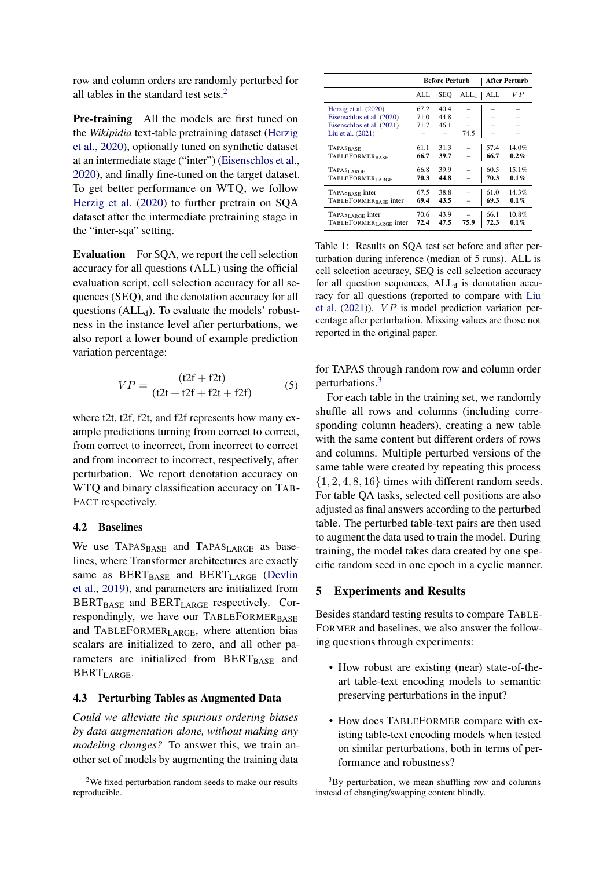row and column orders are randomly perturbed for all tables in the standard test sets.<sup>[2](#page-4-0)</sup>

Pre-training All the models are first tuned on the *Wikipidia* text-table pretraining dataset [\(Herzig](#page-9-3) [et al.,](#page-9-3) [2020\)](#page-9-3), optionally tuned on synthetic dataset at an intermediate stage ("inter") [\(Eisenschlos et al.,](#page-9-4) [2020\)](#page-9-4), and finally fine-tuned on the target dataset. To get better performance on WTQ, we follow [Herzig et al.](#page-9-3) [\(2020\)](#page-9-3) to further pretrain on SQA dataset after the intermediate pretraining stage in the "inter-sqa" setting.

Evaluation For SQA, we report the cell selection accuracy for all questions (ALL) using the official evaluation script, cell selection accuracy for all sequences (SEQ), and the denotation accuracy for all questions  $(ALL_d)$ . To evaluate the models' robustness in the instance level after perturbations, we also report a lower bound of example prediction variation percentage:

$$
VP = \frac{(t2f + f2t)}{(t2t + t2f + f2t + f2f)}
$$
(5)

where t2t, t2f, f2t, and f2f represents how many example predictions turning from correct to correct, from correct to incorrect, from incorrect to correct and from incorrect to incorrect, respectively, after perturbation. We report denotation accuracy on WTQ and binary classification accuracy on TAB-FACT respectively.

### 4.2 Baselines

We use TAPASBASE and TAPASLARGE as baselines, where Transformer architectures are exactly same as  $BERT_{BASE}$  and  $BERT_{LARGE}$  [\(Devlin](#page-9-7) [et al.,](#page-9-7) [2019\)](#page-9-7), and parameters are initialized from BERT<sub>BASE</sub> and BERT<sub>LARGE</sub> respectively. Correspondingly, we have our TABLEFORMERBASE and TABLEFORMERLARGE, where attention bias scalars are initialized to zero, and all other parameters are initialized from BERTBASE and BERTLARGE.

#### <span id="page-4-3"></span>4.3 Perturbing Tables as Augmented Data

*Could we alleviate the spurious ordering biases by data augmentation alone, without making any modeling changes?* To answer this, we train another set of models by augmenting the training data

<span id="page-4-2"></span>

|                                    | <b>Before Perturb</b> |            |                  | <b>After Perturb</b> |         |  |
|------------------------------------|-----------------------|------------|------------------|----------------------|---------|--|
|                                    | ALL                   | <b>SEO</b> | ALL <sub>d</sub> | ALL                  | V P     |  |
| Herzig et al. (2020)               | 67.2                  | 40.4       |                  |                      |         |  |
| Eisenschlos et al. (2020)          | 71.0                  | 44.8       |                  |                      |         |  |
| Eisenschlos et al. (2021)          | 71.7                  | 46.1       |                  |                      |         |  |
| Liu et al. (2021)                  |                       |            | 74.5             |                      |         |  |
| TAPASBASE                          | 61.1                  | 31.3       |                  | 57.4                 | 14.0%   |  |
| <b>TABLEFORMERBASE</b>             | 66.7                  | 39.7       |                  | 66.7                 | $0.2\%$ |  |
| TAPASLARGE                         | 66.8                  | 39.9       |                  | 60.5                 | 15.1%   |  |
| <b>TABLEFORMERLARGE</b>            | 70.3                  | 44.8       |                  | 70.3                 | $0.1\%$ |  |
| TAPAS <sub>BASE</sub> inter        | 67.5                  | 38.8       |                  | 61.0                 | 14.3%   |  |
| TABLEFORMERBASE inter              | 69.4                  | 43.5       |                  | 69.3                 | 0.1%    |  |
| TAPAS <sub>LARGE</sub> inter       | 70.6                  | 43.9       |                  | 66.1                 | 10.8%   |  |
| TABLEFORMER <sub>LARGE</sub> inter | 72.4                  | 47.5       | 75.9             | 72.3                 | $0.1\%$ |  |

Table 1: Results on SQA test set before and after perturbation during inference (median of 5 runs). ALL is cell selection accuracy, SEQ is cell selection accuracy for all question sequences,  $ALL<sub>d</sub>$  is denotation accuracy for all questions (reported to compare with [Liu](#page-9-1) [et al.](#page-9-1) [\(2021\)](#page-9-1)).  $VP$  is model prediction variation percentage after perturbation. Missing values are those not reported in the original paper.

for TAPAS through random row and column order perturbations.[3](#page-4-1)

For each table in the training set, we randomly shuffle all rows and columns (including corresponding column headers), creating a new table with the same content but different orders of rows and columns. Multiple perturbed versions of the same table were created by repeating this process  $\{1, 2, 4, 8, 16\}$  times with different random seeds. For table QA tasks, selected cell positions are also adjusted as final answers according to the perturbed table. The perturbed table-text pairs are then used to augment the data used to train the model. During training, the model takes data created by one specific random seed in one epoch in a cyclic manner.

#### 5 Experiments and Results

Besides standard testing results to compare TABLE-FORMER and baselines, we also answer the following questions through experiments:

- How robust are existing (near) state-of-theart table-text encoding models to semantic preserving perturbations in the input?
- How does TABLEFORMER compare with existing table-text encoding models when tested on similar perturbations, both in terms of performance and robustness?

<span id="page-4-0"></span><sup>&</sup>lt;sup>2</sup>We fixed perturbation random seeds to make our results reproducible.

<span id="page-4-1"></span> $3By$  perturbation, we mean shuffling row and columns instead of changing/swapping content blindly.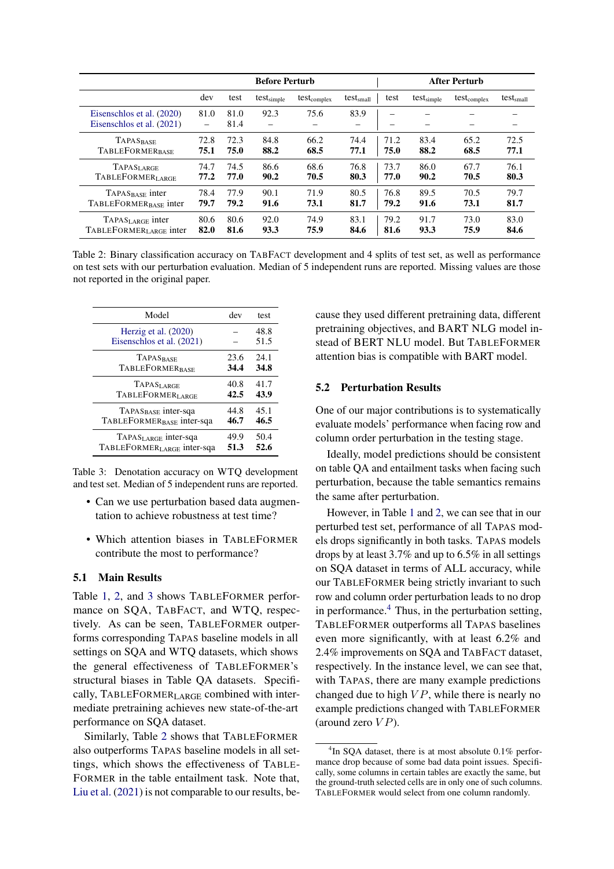<span id="page-5-1"></span>

| <b>Before Perturb</b>                                  |      |              |                 | <b>After Perturb</b> |                |      |                 |                  |                |
|--------------------------------------------------------|------|--------------|-----------------|----------------------|----------------|------|-----------------|------------------|----------------|
|                                                        | dev  | test         | $test_{simple}$ | $test_{complex}$     | $test_{small}$ | test | $test_{simple}$ | $test_{complex}$ | $test_{small}$ |
| Eisenschlos et al. (2020)<br>Eisenschlos et al. (2021) | 81.0 | 81.0<br>81.4 | 92.3            | 75.6                 | 83.9           |      |                 |                  |                |
| TAPAS <sub>BASE</sub>                                  | 72.8 | 72.3         | 84.8            | 66.2                 | 74.4           | 71.2 | 83.4            | 65.2             | 72.5           |
| <b>TABLEFORMERBASE</b>                                 | 75.1 | 75.0         | 88.2            | 68.5                 | 77.1           | 75.0 | 88.2            | 68.5             | 77.1           |
| TAPASLARGE                                             | 74.7 | 74.5         | 86.6            | 68.6                 | 76.8           | 73.7 | 86.0            | 67.7             | 76.1           |
| <b>TABLEFORMERLARGE</b>                                | 77.2 | 77.0         | 90.2            | 70.5                 | 80.3           | 77.0 | 90.2            | 70.5             | 80.3           |
| TAPAS <sub>BASE</sub> inter                            | 78.4 | 77.9         | 90.1            | 71.9                 | 80.5           | 76.8 | 89.5            | 70.5             | 79.7           |
| TABLEFORMER <sub>BASE</sub> inter                      | 79.7 | 79.2         | 91.6            | 73.1                 | 81.7           | 79.2 | 91.6            | 73.1             | 81.7           |
| TAPAS <sub>LARGE</sub> inter                           | 80.6 | 80.6         | 92.0            | 74.9                 | 83.1           | 79.2 | 91.7            | 73.0             | 83.0           |
| TABLEFORMER <sub>LARGE</sub> inter                     | 82.0 | 81.6         | 93.3            | 75.9                 | 84.6           | 81.6 | 93.3            | 75.9             | 84.6           |

Table 2: Binary classification accuracy on TABFACT development and 4 splits of test set, as well as performance on test sets with our perturbation evaluation. Median of 5 independent runs are reported. Missing values are those not reported in the original paper.

<span id="page-5-2"></span>

| Model                                               | dev  | test         |
|-----------------------------------------------------|------|--------------|
| Herzig et al. $(2020)$<br>Eisenschlos et al. (2021) |      | 48.8<br>51.5 |
| TAPASBASE                                           | 23.6 | 24.1         |
| <b>TABLEFORMERBASE</b>                              | 34.4 | 34.8         |
| TAPASLARGE                                          | 40.8 | 41.7         |
| <b>TABLEFORMERLARGE</b>                             | 42.5 | 43.9         |
| $TAPASBASE$ inter-sqa                               | 44.8 | 45.1         |
| TABLEFORMERBASE inter-sqa                           | 46.7 | 46.5         |
| TAPASLARGE inter-sqa                                | 49.9 | 50.4         |
| TABLEFORMER <sub>LARGE</sub> inter-sqa              | 51.3 | 52.6         |

Table 3: Denotation accuracy on WTQ development and test set. Median of 5 independent runs are reported.

- Can we use perturbation based data augmentation to achieve robustness at test time?
- Which attention biases in TABLEFORMER contribute the most to performance?

### 5.1 Main Results

Table [1,](#page-4-2) [2,](#page-5-1) and [3](#page-5-2) shows TABLEFORMER performance on SQA, TABFACT, and WTQ, respectively. As can be seen, TABLEFORMER outperforms corresponding TAPAS baseline models in all settings on SQA and WTQ datasets, which shows the general effectiveness of TABLEFORMER's structural biases in Table QA datasets. Specifically, TABLEFORMER<sub>LARGE</sub> combined with intermediate pretraining achieves new state-of-the-art performance on SQA dataset.

Similarly, Table [2](#page-5-1) shows that TABLEFORMER also outperforms TAPAS baseline models in all settings, which shows the effectiveness of TABLE-FORMER in the table entailment task. Note that, [Liu et al.](#page-9-1) [\(2021\)](#page-9-1) is not comparable to our results, because they used different pretraining data, different pretraining objectives, and BART NLG model instead of BERT NLU model. But TABLEFORMER attention bias is compatible with BART model.

### <span id="page-5-0"></span>5.2 Perturbation Results

One of our major contributions is to systematically evaluate models' performance when facing row and column order perturbation in the testing stage.

Ideally, model predictions should be consistent on table QA and entailment tasks when facing such perturbation, because the table semantics remains the same after perturbation.

However, in Table [1](#page-4-2) and [2,](#page-5-1) we can see that in our perturbed test set, performance of all TAPAS models drops significantly in both tasks. TAPAS models drops by at least 3.7% and up to 6.5% in all settings on SQA dataset in terms of ALL accuracy, while our TABLEFORMER being strictly invariant to such row and column order perturbation leads to no drop in performance.[4](#page-5-3) Thus, in the perturbation setting, TABLEFORMER outperforms all TAPAS baselines even more significantly, with at least 6.2% and 2.4% improvements on SQA and TABFACT dataset, respectively. In the instance level, we can see that, with TAPAS, there are many example predictions changed due to high  $VP$ , while there is nearly no example predictions changed with TABLEFORMER (around zero  $VP$ ).

<span id="page-5-3"></span> $4$ In SQA dataset, there is at most absolute 0.1% performance drop because of some bad data point issues. Specifically, some columns in certain tables are exactly the same, but the ground-truth selected cells are in only one of such columns. TABLEFORMER would select from one column randomly.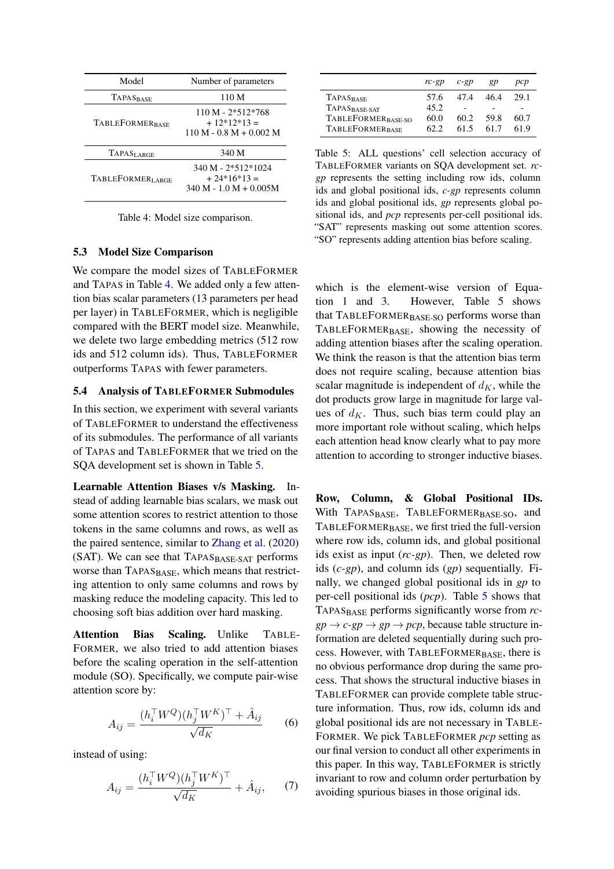<span id="page-6-0"></span>

| Model                   | Number of parameters                                              |
|-------------------------|-------------------------------------------------------------------|
| TAPAS <sub>BASE</sub>   | 110 M                                                             |
| <b>TABLEFORMERBASE</b>  | 110 M - 2*512*768<br>$+12*12*13=$<br>$110 M - 0.8 M + 0.002 M$    |
| <b>TAPASLARGE</b>       | 340 M                                                             |
| <b>TABLEFORMERLARGE</b> | $340 M - 2*512*1024$<br>$+24*16*13=$<br>$340 M - 1.0 M + 0.005 M$ |

Table 4: Model size comparison.

#### 5.3 Model Size Comparison

We compare the model sizes of TABLEFORMER and TAPAS in Table [4.](#page-6-0) We added only a few attention bias scalar parameters (13 parameters per head per layer) in TABLEFORMER, which is negligible compared with the BERT model size. Meanwhile, we delete two large embedding metrics (512 row ids and 512 column ids). Thus, TABLEFORMER outperforms TAPAS with fewer parameters.

#### 5.4 Analysis of TABLEFORMER Submodules

In this section, we experiment with several variants of TABLEFORMER to understand the effectiveness of its submodules. The performance of all variants of TAPAS and TABLEFORMER that we tried on the SQA development set is shown in Table [5.](#page-6-1)

Learnable Attention Biases v/s Masking. Instead of adding learnable bias scalars, we mask out some attention scores to restrict attention to those tokens in the same columns and rows, as well as the paired sentence, similar to [Zhang et al.](#page-9-5) [\(2020\)](#page-9-5)  $(SAT)$ . We can see that TAPAS $_{BASE-SAT}$  performs worse than  $TAPAS<sub>BASE</sub>$ , which means that restricting attention to only same columns and rows by masking reduce the modeling capacity. This led to choosing soft bias addition over hard masking.

Attention Bias Scaling. Unlike TABLE-FORMER, we also tried to add attention biases before the scaling operation in the self-attention module (SO). Specifically, we compute pair-wise attention score by:

$$
A_{ij} = \frac{(h_i^{\top} W^Q)(h_j^{\top} W^K)^{\top} + \hat{A}_{ij}}{\sqrt{d_K}} \tag{6}
$$

instead of using:

$$
A_{ij} = \frac{(h_i^{\top} W^Q)(h_j^{\top} W^K)^{\top}}{\sqrt{d_K}} + \hat{A}_{ij}, \qquad (7)
$$

<span id="page-6-1"></span>

|                           | $rc$ -g $p$ | $c$ -gp | gp   | pcp  |
|---------------------------|-------------|---------|------|------|
| TAPAS <sub>BASE</sub>     | 57.6        | 474     | 46.4 | 29.1 |
| TAPAS <sub>BASE-SAT</sub> | 45.2        | -       |      |      |
| TABLEFORMERBASE-SO        | 60.0        | 60.2    | 59.8 | 60.7 |
| <b>TABLEFORMERBASE</b>    | 62 Z        | 61.5    | 617  | 61.9 |

Table 5: ALL questions' cell selection accuracy of TABLEFORMER variants on SQA development set. *rcgp* represents the setting including row ids, column ids and global positional ids, *c-gp* represents column ids and global positional ids, *gp* represents global positional ids, and *pcp* represents per-cell positional ids. "SAT" represents masking out some attention scores. "SO" represents adding attention bias before scaling.

which is the element-wise version of Equation [1](#page-1-0) and [3.](#page-3-0) However, Table [5](#page-6-1) shows that TABLEFORMER $_{\rm BASE-SO}$  performs worse than TABLEFORMERBASE, showing the necessity of adding attention biases after the scaling operation. We think the reason is that the attention bias term does not require scaling, because attention bias scalar magnitude is independent of  $d_K$ , while the dot products grow large in magnitude for large values of  $d_K$ . Thus, such bias term could play an more important role without scaling, which helps each attention head know clearly what to pay more attention to according to stronger inductive biases.

Row, Column, & Global Positional IDs. With TAPASBASE, TABLEFORMERBASE-SO, and TABLEFORMER $_{\rm BASE}$ , we first tried the full-version where row ids, column ids, and global positional ids exist as input (*rc-gp*). Then, we deleted row ids (*c-gp*), and column ids (*gp*) sequentially. Finally, we changed global positional ids in *gp* to per-cell positional ids (*pcp*). Table [5](#page-6-1) shows that TAPASBASE performs significantly worse from *rc* $gp \rightarrow c$ -gp  $\rightarrow gp \rightarrow pcp$ , because table structure information are deleted sequentially during such process. However, with TABLEFORMER $_{BASE}$ , there is no obvious performance drop during the same process. That shows the structural inductive biases in TABLEFORMER can provide complete table structure information. Thus, row ids, column ids and global positional ids are not necessary in TABLE-FORMER. We pick TABLEFORMER *pcp* setting as our final version to conduct all other experiments in this paper. In this way, TABLEFORMER is strictly invariant to row and column order perturbation by avoiding spurious biases in those original ids.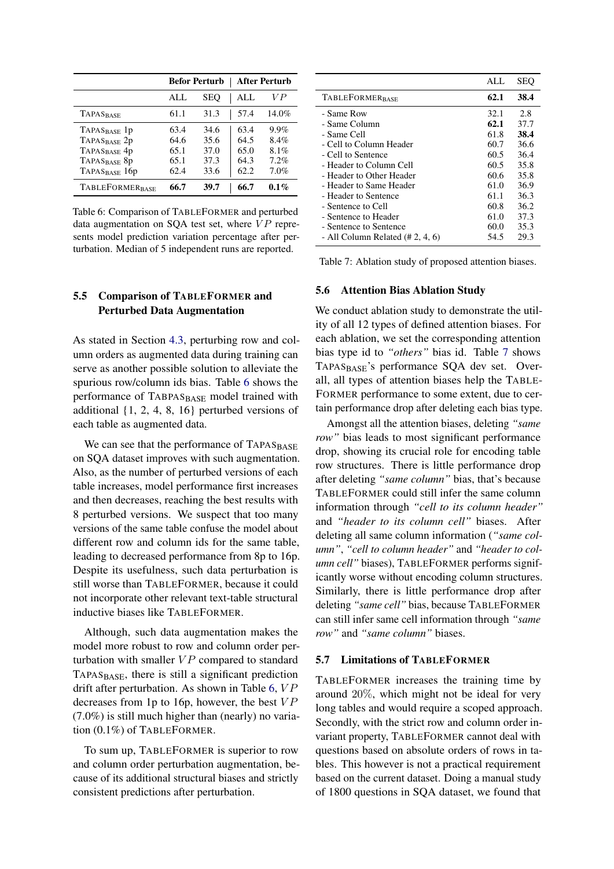<span id="page-7-0"></span>

|                           |      | <b>Befor Perturb</b> | <b>After Perturb</b> |          |  |
|---------------------------|------|----------------------|----------------------|----------|--|
|                           | ALL. | <b>SEO</b>           | ALL                  | V P      |  |
| TAPASBASE                 | 61.1 | 31.3                 | 57.4                 | $14.0\%$ |  |
| TAPAS <sub>BASE</sub> 1p  | 63.4 | 34.6                 | 63.4                 | $9.9\%$  |  |
| TAPAS <sub>BASE</sub> 2p  | 64.6 | 35.6                 | 64.5                 | $8.4\%$  |  |
| TAPAS <sub>BASE</sub> 4p  | 65.1 | 37.0                 | 65.0                 | $8.1\%$  |  |
| TAPAS <sub>BASE</sub> 8p  | 65.1 | 37.3                 | 64.3                 | 7.2%     |  |
| TAPAS <sub>BASE</sub> 16p | 62.4 | 33.6                 | 62.2                 | 7.0%     |  |
| <b>TABLEFORMERBASE</b>    | 66.7 | 39.7                 | 66.7                 | $0.1\%$  |  |

Table 6: Comparison of TABLEFORMER and perturbed data augmentation on SQA test set, where  $VP$  represents model prediction variation percentage after perturbation. Median of 5 independent runs are reported.

## 5.5 Comparison of TABLEFORMER and Perturbed Data Augmentation

As stated in Section [4.3,](#page-4-3) perturbing row and column orders as augmented data during training can serve as another possible solution to alleviate the spurious row/column ids bias. Table [6](#page-7-0) shows the performance of TABPAS<sub>BASE</sub> model trained with additional {1, 2, 4, 8, 16} perturbed versions of each table as augmented data.

We can see that the performance of TAPASBASE on SQA dataset improves with such augmentation. Also, as the number of perturbed versions of each table increases, model performance first increases and then decreases, reaching the best results with 8 perturbed versions. We suspect that too many versions of the same table confuse the model about different row and column ids for the same table, leading to decreased performance from 8p to 16p. Despite its usefulness, such data perturbation is still worse than TABLEFORMER, because it could not incorporate other relevant text-table structural inductive biases like TABLEFORMER.

Although, such data augmentation makes the model more robust to row and column order perturbation with smaller  $VP$  compared to standard TAPASBASE, there is still a significant prediction drift after perturbation. As shown in Table [6,](#page-7-0)  $VP$ decreases from 1p to 16p, however, the best  $VP$ (7.0%) is still much higher than (nearly) no variation (0.1%) of TABLEFORMER.

To sum up, TABLEFORMER is superior to row and column order perturbation augmentation, because of its additional structural biases and strictly consistent predictions after perturbation.

<span id="page-7-1"></span>

|                                     | ALL  | <b>SEO</b> |
|-------------------------------------|------|------------|
| <b>TABLEFORMERBASE</b>              | 62.1 | 38.4       |
| - Same Row                          | 32.1 | 2.8        |
| - Same Column                       | 62.1 | 37.7       |
| - Same Cell                         | 61.8 | 38.4       |
| - Cell to Column Header             | 60.7 | 36.6       |
| - Cell to Sentence                  | 60.5 | 36.4       |
| - Header to Column Cell             | 60.5 | 35.8       |
| - Header to Other Header            | 60.6 | 35.8       |
| - Header to Same Header             | 61.0 | 36.9       |
| - Header to Sentence                | 61.1 | 36.3       |
| - Sentence to Cell                  | 60.8 | 36.2       |
| - Sentence to Header                | 61.0 | 37.3       |
| - Sentence to Sentence              | 60.0 | 35.3       |
| - All Column Related $(\# 2, 4, 6)$ | 54.5 | 29.3       |

Table 7: Ablation study of proposed attention biases.

#### 5.6 Attention Bias Ablation Study

We conduct ablation study to demonstrate the utility of all 12 types of defined attention biases. For each ablation, we set the corresponding attention bias type id to *"others"* bias id. Table [7](#page-7-1) shows TAPAS<sub>BASE</sub>'s performance SQA dev set. Overall, all types of attention biases help the TABLE-FORMER performance to some extent, due to certain performance drop after deleting each bias type.

Amongst all the attention biases, deleting *"same row"* bias leads to most significant performance drop, showing its crucial role for encoding table row structures. There is little performance drop after deleting *"same column"* bias, that's because TABLEFORMER could still infer the same column information through *"cell to its column header"* and *"header to its column cell"* biases. After deleting all same column information (*"same column"*, *"cell to column header"* and *"header to column cell"* biases), TABLEFORMER performs significantly worse without encoding column structures. Similarly, there is little performance drop after deleting *"same cell"* bias, because TABLEFORMER can still infer same cell information through *"same row"* and *"same column"* biases.

#### 5.7 Limitations of TABLEFORMER

TABLEFORMER increases the training time by around 20%, which might not be ideal for very long tables and would require a scoped approach. Secondly, with the strict row and column order invariant property, TABLEFORMER cannot deal with questions based on absolute orders of rows in tables. This however is not a practical requirement based on the current dataset. Doing a manual study of 1800 questions in SQA dataset, we found that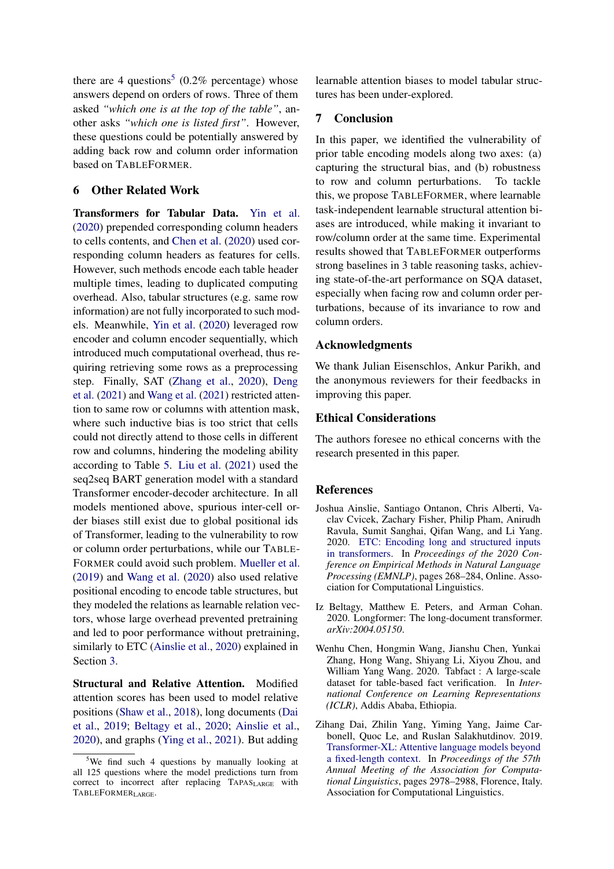there are 4 questions<sup>[5](#page-8-2)</sup> (0.2% percentage) whose answers depend on orders of rows. Three of them asked *"which one is at the top of the table"*, another asks *"which one is listed first"*. However, these questions could be potentially answered by adding back row and column order information based on TABLEFORMER.

## 6 Other Related Work

Transformers for Tabular Data. [Yin et al.](#page-9-6) [\(2020\)](#page-9-6) prepended corresponding column headers to cells contents, and [Chen et al.](#page-8-0) [\(2020\)](#page-8-0) used corresponding column headers as features for cells. However, such methods encode each table header multiple times, leading to duplicated computing overhead. Also, tabular structures (e.g. same row information) are not fully incorporated to such models. Meanwhile, [Yin et al.](#page-9-6) [\(2020\)](#page-9-6) leveraged row encoder and column encoder sequentially, which introduced much computational overhead, thus requiring retrieving some rows as a preprocessing step. Finally, SAT [\(Zhang et al.,](#page-9-5) [2020\)](#page-9-5), [Deng](#page-9-13) [et al.](#page-9-13) [\(2021\)](#page-9-13) and [Wang et al.](#page-9-14) [\(2021\)](#page-9-14) restricted attention to same row or columns with attention mask, where such inductive bias is too strict that cells could not directly attend to those cells in different row and columns, hindering the modeling ability according to Table [5.](#page-6-1) [Liu et al.](#page-9-1) [\(2021\)](#page-9-1) used the seq2seq BART generation model with a standard Transformer encoder-decoder architecture. In all models mentioned above, spurious inter-cell order biases still exist due to global positional ids of Transformer, leading to the vulnerability to row or column order perturbations, while our TABLE-FORMER could avoid such problem. [Mueller et al.](#page-9-15) [\(2019\)](#page-9-15) and [Wang et al.](#page-9-16) [\(2020\)](#page-9-16) also used relative positional encoding to encode table structures, but they modeled the relations as learnable relation vectors, whose large overhead prevented pretraining and led to poor performance without pretraining, similarly to ETC [\(Ainslie et al.,](#page-8-1) [2020\)](#page-8-1) explained in Section [3.](#page-3-1)

Structural and Relative Attention. Modified attention scores has been used to model relative positions [\(Shaw et al.,](#page-9-9) [2018\)](#page-9-9), long documents [\(Dai](#page-8-3) [et al.,](#page-8-3) [2019;](#page-8-3) [Beltagy et al.,](#page-8-4) [2020;](#page-8-4) [Ainslie et al.,](#page-8-1) [2020\)](#page-8-1), and graphs [\(Ying et al.,](#page-9-10) [2021\)](#page-9-10). But adding

learnable attention biases to model tabular structures has been under-explored.

### 7 Conclusion

In this paper, we identified the vulnerability of prior table encoding models along two axes: (a) capturing the structural bias, and (b) robustness to row and column perturbations. To tackle this, we propose TABLEFORMER, where learnable task-independent learnable structural attention biases are introduced, while making it invariant to row/column order at the same time. Experimental results showed that TABLEFORMER outperforms strong baselines in 3 table reasoning tasks, achieving state-of-the-art performance on SQA dataset, especially when facing row and column order perturbations, because of its invariance to row and column orders.

## Acknowledgments

We thank Julian Eisenschlos, Ankur Parikh, and the anonymous reviewers for their feedbacks in improving this paper.

## Ethical Considerations

The authors foresee no ethical concerns with the research presented in this paper.

### References

- <span id="page-8-1"></span>Joshua Ainslie, Santiago Ontanon, Chris Alberti, Vaclav Cvicek, Zachary Fisher, Philip Pham, Anirudh Ravula, Sumit Sanghai, Qifan Wang, and Li Yang. 2020. [ETC: Encoding long and structured inputs](https://doi.org/10.18653/v1/2020.emnlp-main.19) [in transformers.](https://doi.org/10.18653/v1/2020.emnlp-main.19) In *Proceedings of the 2020 Conference on Empirical Methods in Natural Language Processing (EMNLP)*, pages 268–284, Online. Association for Computational Linguistics.
- <span id="page-8-4"></span>Iz Beltagy, Matthew E. Peters, and Arman Cohan. 2020. Longformer: The long-document transformer. *arXiv:2004.05150*.
- <span id="page-8-0"></span>Wenhu Chen, Hongmin Wang, Jianshu Chen, Yunkai Zhang, Hong Wang, Shiyang Li, Xiyou Zhou, and William Yang Wang. 2020. Tabfact : A large-scale dataset for table-based fact verification. In *International Conference on Learning Representations (ICLR)*, Addis Ababa, Ethiopia.
- <span id="page-8-3"></span>Zihang Dai, Zhilin Yang, Yiming Yang, Jaime Carbonell, Quoc Le, and Ruslan Salakhutdinov. 2019. [Transformer-XL: Attentive language models beyond](https://doi.org/10.18653/v1/P19-1285) [a fixed-length context.](https://doi.org/10.18653/v1/P19-1285) In *Proceedings of the 57th Annual Meeting of the Association for Computational Linguistics*, pages 2978–2988, Florence, Italy. Association for Computational Linguistics.

<span id="page-8-2"></span><sup>&</sup>lt;sup>5</sup>We find such 4 questions by manually looking at all 125 questions where the model predictions turn from correct to incorrect after replacing TAPASLARGE with TABLEFORMERLARGE.